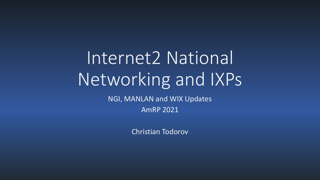# Internet2 National Networking and IXPs

NGI, MANLAN and WIX Updates

AmRP 2021

Christian Todorov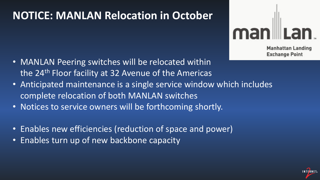#### **NOTICE: MANLAN Relocation in October**

man

**Manhattan Landing Exchange Point** 

**INTERNET** 

- MANLAN Peering switches will be relocated within the 24th Floor facility at 32 Avenue of the Americas
- Anticipated maintenance is a single service window which includes complete relocation of both MANLAN switches
- Notices to service owners will be forthcoming shortly.
- Enables new efficiencies (reduction of space and power)
- Enables turn up of new backbone capacity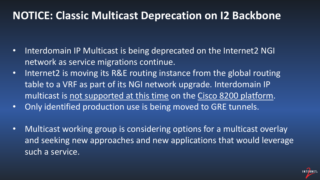#### **NOTICE: Classic Multicast Deprecation on I2 Backbone**

- Interdomain IP Multicast is being deprecated on the Internet2 NGI network as service migrations continue.
- Internet2 is moving its R&E routing instance from the global routing table to a VRF as part of its NGI network upgrade. Interdomain IP multicast is not supported at this time on the Cisco 8200 platform.
- Only identified production use is being moved to GRE tunnels.
- Multicast working group is considering options for a multicast overlay and seeking new approaches and new applications that would leverage such a service.

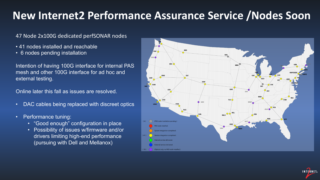#### **New Internet2 Performance Assurance Service /Nodes Soon**

#### 47 Node 2x100G dedicated perfSONAR nodes

- 41 nodes installed and reachable
- 6 nodes pending installation

Intention of having 100G interface for internal PAS mesh and other 100G interface for ad hoc and external testing.

Online later this fall as issues are resolved.

- DAC cables being replaced with discreet optics
- Performance tuning:
	- "Good enough" configuration in place
	- Possibility of issues w/firmware and/or drivers limiting high-end performance (pursuing with Dell and Mellanox)



**INTERNET**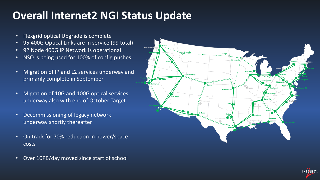### **Overall Internet2 NGI Status Update**

- Flexgrid optical Upgrade is complete
- 95 400G Optical Links are in service (99 total)
- 92 Node 400G IP Network is operational
- NSO is being used for 100% of config pushes
- Migration of IP and L2 services underway and primarily complete in September
- Migration of 10G and 100G optical services underway also with end of October Target
- Decommissioning of legacy network underway shortly thereafter
- On track for 70% reduction in power/space costs
- Over 10PB/day moved since start of school